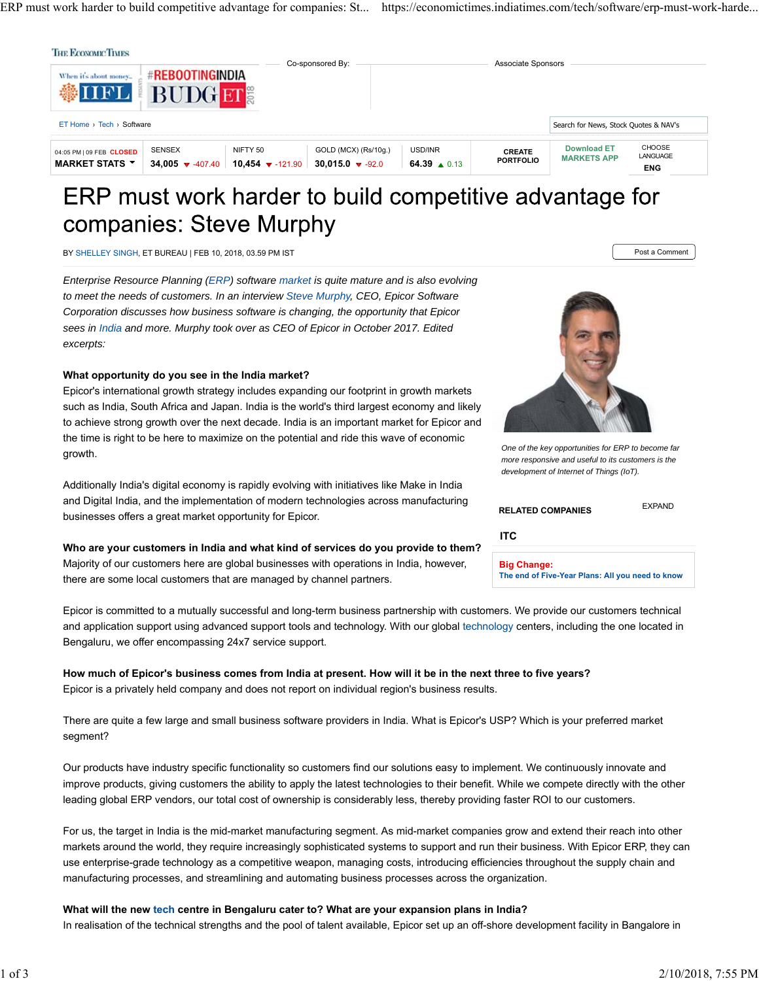ERP must work harder to build competitive advantage for companies: St... https://economictimes.indiatimes.com/tech/software/erp-must-work-harde...

| When it's about money<br>VIIFL                      | <b>#REBOOTINGINDIA</b><br><b>BUDG</b>   |                                      | Co-sponsored By:                                  |                                   | Associate Sponsors                |                                          |                                                |
|-----------------------------------------------------|-----------------------------------------|--------------------------------------|---------------------------------------------------|-----------------------------------|-----------------------------------|------------------------------------------|------------------------------------------------|
| $ET$ Home $\rightarrow$ Tech $\rightarrow$ Software |                                         |                                      |                                                   |                                   |                                   | Search for News, Stock Quotes & NAV's    |                                                |
| 04:05 PM   09 FEB CLOSED<br><b>MARKET STATS Y</b>   | <b>SENSEX</b><br>34,005 $\sqrt{407.40}$ | NIFTY 50<br>10,454 $\bullet$ -121.90 | GOLD (MCX) (Rs/10g.)<br>30.015.0 $\sqrt{ }$ -92.0 | USD/INR<br>64.39 $\triangle$ 0.13 | <b>CREATE</b><br><b>PORTFOLIO</b> | <b>Download ET</b><br><b>MARKETS APP</b> | <b>CHOOSE</b><br><b>LANGUAGE</b><br><b>ENG</b> |

# ERP must work harder to build competitive advantage for companies: Steve Murphy

BY SHELLEY SINGH, ET BUREAU | FEB 10, 2018, 03.59 PM IST POST A COMMENT AND RELEVELY SINGLEY SINGH, THE POST A COMMENT

*Enterprise Resource Planning (ERP) software market is quite mature and is also evolving to meet the needs of customers. In an interview Steve Murphy, CEO, Epicor Software Corporation discusses how business software is changing, the opportunity that Epicor sees in India and more. Murphy took over as CEO of Epicor in October 2017. Edited excerpts:*

#### **What opportunity do you see in the India market?**

Epicor's international growth strategy includes expanding our footprint in growth markets such as India, South Africa and Japan. India is the world's third largest economy and likely to achieve strong growth over the next decade. India is an important market for Epicor and the time is right to be here to maximize on the potential and ride this wave of economic growth.

Additionally India's digital economy is rapidly evolving with initiatives like Make in India and Digital India, and the implementation of modern technologies across manufacturing businesses offers a great market opportunity for Epicor.

**Who are your customers in India and what kind of services do you provide to them?** Majority of our customers here are global businesses with operations in India, however, there are some local customers that are managed by channel partners.



*One of the key opportunities for ERP to become far more responsive and useful to its customers is the development of Internet of Things (IoT).*

| <b>RELATED COMPANIES</b> | <b>EXPAND</b> |
|--------------------------|---------------|
| <b>ITC</b>               |               |
| <b>Big Change:</b>       |               |

**The end of Five-Year Plans: All you need to know**

Epicor is committed to a mutually successful and long-term business partnership with customers. We provide our customers technical and application support using advanced support tools and technology. With our global technology centers, including the one located in Bengaluru, we offer encompassing 24x7 service support.

#### **How much of Epicor's business comes from India at present. How will it be in the next three to five years?** Epicor is a privately held company and does not report on individual region's business results.

There are quite a few large and small business software providers in India. What is Epicor's USP? Which is your preferred market segment?

Our products have industry specific functionality so customers find our solutions easy to implement. We continuously innovate and improve products, giving customers the ability to apply the latest technologies to their benefit. While we compete directly with the other leading global ERP vendors, our total cost of ownership is considerably less, thereby providing faster ROI to our customers.

For us, the target in India is the mid-market manufacturing segment. As mid-market companies grow and extend their reach into other markets around the world, they require increasingly sophisticated systems to support and run their business. With Epicor ERP, they can use enterprise-grade technology as a competitive weapon, managing costs, introducing efficiencies throughout the supply chain and manufacturing processes, and streamlining and automating business processes across the organization.

### **What will the new tech centre in Bengaluru cater to? What are your expansion plans in India?**

In realisation of the technical strengths and the pool of talent available, Epicor set up an off-shore development facility in Bangalore in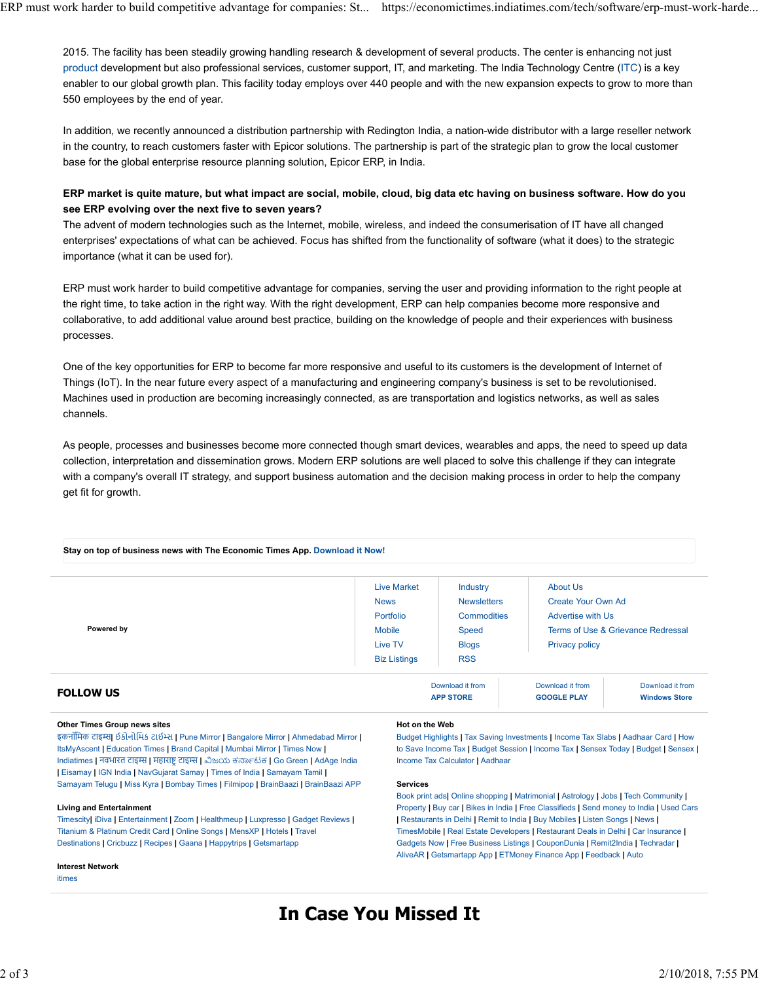2015. The facility has been steadily growing handling research & development of several products. The center is enhancing not just product development but also professional services, customer support, IT, and marketing. The India Technology Centre (ITC) is a key enabler to our global growth plan. This facility today employs over 440 people and with the new expansion expects to grow to more than 550 employees by the end of year.

In addition, we recently announced a distribution partnership with Redington India, a nation-wide distributor with a large reseller network in the country, to reach customers faster with Epicor solutions. The partnership is part of the strategic plan to grow the local customer base for the global enterprise resource planning solution, Epicor ERP, in India.

#### **ERP market is quite mature, but what impact are social, mobile, cloud, big data etc having on business software. How do you see ERP evolving over the next five to seven years?**

The advent of modern technologies such as the Internet, mobile, wireless, and indeed the consumerisation of IT have all changed enterprises' expectations of what can be achieved. Focus has shifted from the functionality of software (what it does) to the strategic importance (what it can be used for).

ERP must work harder to build competitive advantage for companies, serving the user and providing information to the right people at the right time, to take action in the right way. With the right development, ERP can help companies become more responsive and collaborative, to add additional value around best practice, building on the knowledge of people and their experiences with business processes.

One of the key opportunities for ERP to become far more responsive and useful to its customers is the development of Internet of Things (IoT). In the near future every aspect of a manufacturing and engineering company's business is set to be revolutionised. Machines used in production are becoming increasingly connected, as are transportation and logistics networks, as well as sales channels.

As people, processes and businesses become more connected though smart devices, wearables and apps, the need to speed up data collection, interpretation and dissemination grows. Modern ERP solutions are well placed to solve this challenge if they can integrate with a company's overall IT strategy, and support business automation and the decision making process in order to help the company get fit for growth.

| <b>FOLLOW US</b> |                     | Download it from<br><b>ADD STORE</b> | Download it from<br>GOOGLE PLAY    | Download it from<br><b>Windows Store</b> |
|------------------|---------------------|--------------------------------------|------------------------------------|------------------------------------------|
|                  | <b>Biz Listings</b> | <b>RSS</b>                           |                                    |                                          |
|                  | Live TV             | <b>Blogs</b>                         | <b>Privacy policy</b>              |                                          |
| Powered by       | <b>Mobile</b>       | Speed                                | Terms of Use & Grievance Redressal |                                          |
|                  | Portfolio           | <b>Commodities</b>                   | <b>Advertise with Us</b>           |                                          |
|                  | <b>News</b>         | <b>Newsletters</b>                   | <b>Create Your Own Ad</b>          |                                          |
|                  | <b>Live Market</b>  | Industry                             | About Us                           |                                          |

#### **Stay on top of business news with The Economic Times App. Download it Now!**

#### **Other Times Group news sites**

इकनॉिमक टाइʈ**|** ઈકોનોિમક ટાઈձસ **|** Pune Mirror **|** Bangalore Mirror **|** Ahmedabad Mirror **|** ItsMyAscent **|** Education Times **|** Brand Capital **|** Mumbai Mirror **|** Times Now **|** Indiatimes **|** नवभारत टाइʈ **|** महारा'Ōटाइʈ **|** เಜಯ ಕකბಟಕ **|** Go Green **|** AdAge India **|** Eisamay **|** IGN India **|** NavGujarat Samay **|** Times of India **|** Samayam Tamil **|** Samayam Telugu **|** Miss Kyra **|** Bombay Times **|** Filmipop **|** BrainBaazi **|** BrainBaazi APP

#### **Living and Entertainment**

Timescity**|** iDiva **|** Entertainment **|** Zoom **|** Healthmeup **|** Luxpresso **|** Gadget Reviews **|** Titanium & Platinum Credit Card **|** Online Songs **|** MensXP **|** Hotels **|** Travel Destinations **|** Cricbuzz **|** Recipes **|** Gaana **|** Happytrips **|** Getsmartapp

#### **Interest Network**

itimes

#### **Hot on the Web**

**APP STORE**

Budget Highlights **|** Tax Saving Investments **|** Income Tax Slabs **|** Aadhaar Card **|** How to Save Income Tax **|** Budget Session **|** Income Tax **|** Sensex Today **|** Budget **|** Sensex **|** Income Tax Calculator **|** Aadhaar

**GOOGLE PLAY**

#### **Services**

Book print ads**|** Online shopping **|** Matrimonial **|** Astrology **|** Jobs **|** Tech Community **|** Property **|** Buy car **|** Bikes in India **|** Free Classifieds **|** Send money to India **|** Used Cars **|** Restaurants in Delhi **|** Remit to India **|** Buy Mobiles **|** Listen Songs **|** News **|** TimesMobile **|** Real Estate Developers **|** Restaurant Deals in Delhi **|** Car Insurance **|** Gadgets Now **|** Free Business Listings **|** CouponDunia **|** Remit2India **|** Techradar **|** AliveAR **|** Getsmartapp App **|** ETMoney Finance App **|** Feedback **|** Auto

## **In Case You Missed It**

**Windows Store**